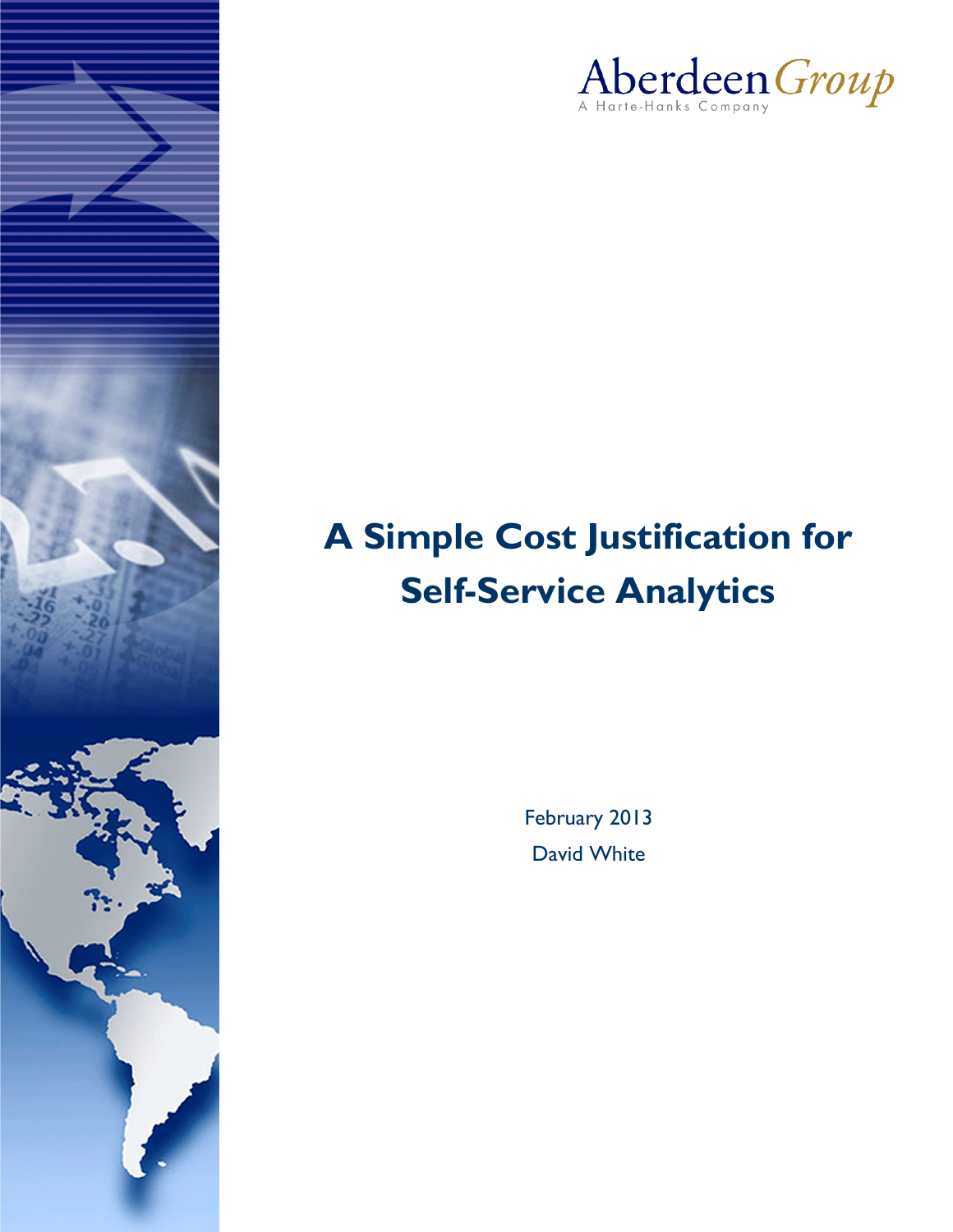

## **A Simple Cost Justification for Self-Service Analytics**

February 2013 David White

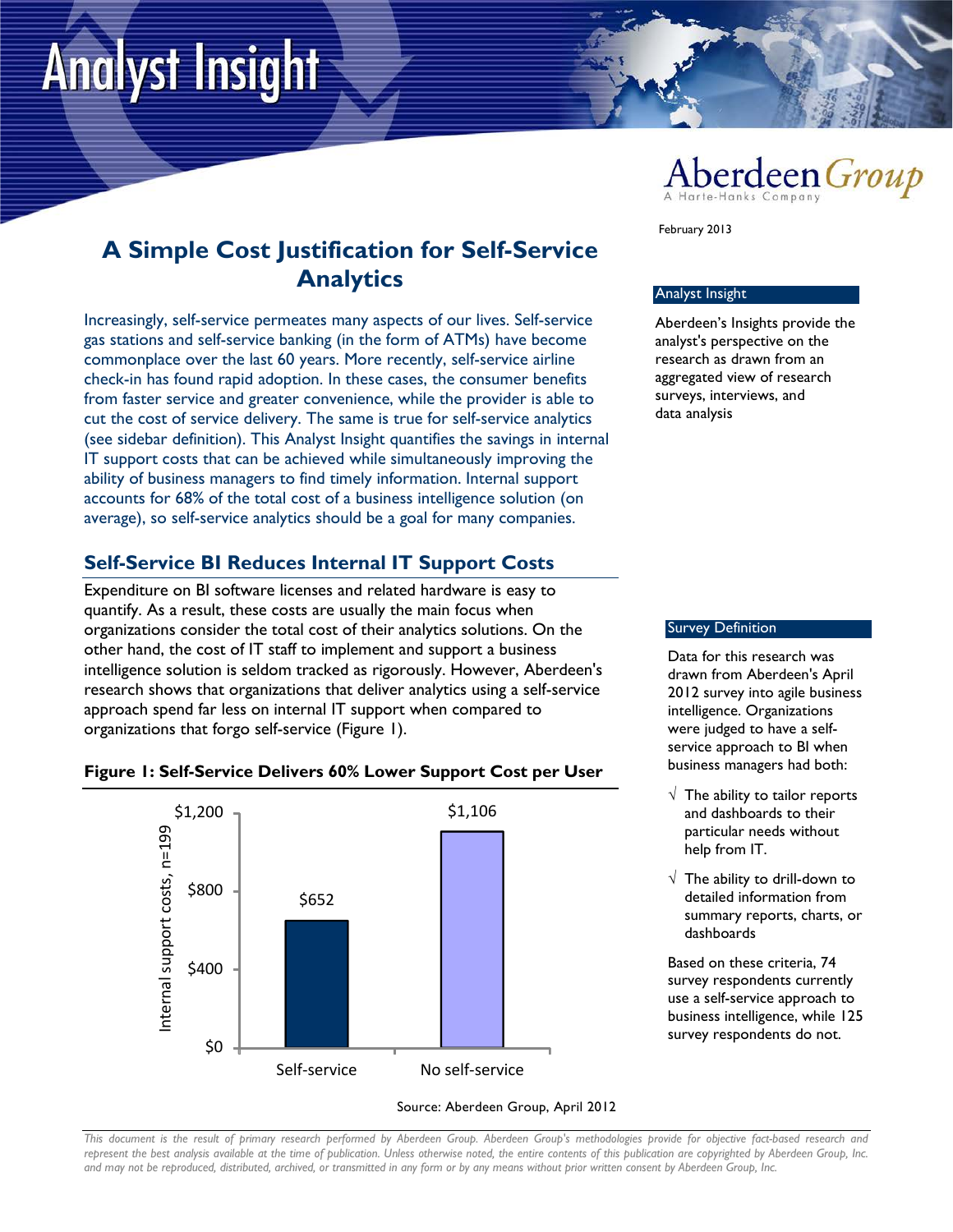# **Analyst Insight**



### **A Simple Cost Justification for Self-Service Analytics**

Increasingly, self-service permeates many aspects of our lives. Self-service gas stations and self-service banking (in the form of ATMs) have become commonplace over the last 60 years. More recently, self-service airline check-in has found rapid adoption. In these cases, the consumer benefits from faster service and greater convenience, while the provider is able to cut the cost of service delivery. The same is true for self-service analytics (see sidebar definition). This Analyst Insight quantifies the savings in internal IT support costs that can be achieved while simultaneously improving the ability of business managers to find timely information. Internal support accounts for 68% of the total cost of a business intelligence solution (on average), so self-service analytics should be a goal for many companies.

#### **Self-Service BI Reduces Internal IT Support Costs**

Expenditure on BI software licenses and related hardware is easy to quantify. As a result, these costs are usually the main focus when organizations consider the total cost of their analytics solutions. On the other hand, the cost of IT staff to implement and support a business intelligence solution is seldom tracked as rigorously. However, Aberdeen's research shows that organizations that deliver analytics using a self-service approach spend far less on internal IT support when compared to organizations that forgo self-service (Figure 1).







*This document is the result of primary research performed by Aberdeen Group. Aberdeen Group's methodologies provide for objective fact-based research and represent the best analysis available at the time of publication. Unless otherwise noted, the entire contents of this publication are copyrighted by Aberdeen Group, Inc.* 

*and may not be reproduced, distributed, archived, or transmitted in any form or by any means without prior written consent by Aberdeen Group, Inc.*

February 2013

#### Analyst Insight

Aberdeen's Insights provide the analyst's perspective on the research as drawn from an aggregated view of research surveys, interviews, and data analysis

#### Survey Definition

Data for this research was drawn from Aberdeen's April 2012 survey into agile business intelligence. Organizations were judged to have a selfservice approach to BI when business managers had both:

- $\sqrt{ }$  The ability to tailor reports and dashboards to their particular needs without help from IT.
- $\sqrt{\phantom{a}}$  The ability to drill-down to detailed information from summary reports, charts, or dashboards

Based on these criteria, 74 survey respondents currently use a self-service approach to business intelligence, while 125 survey respondents do not.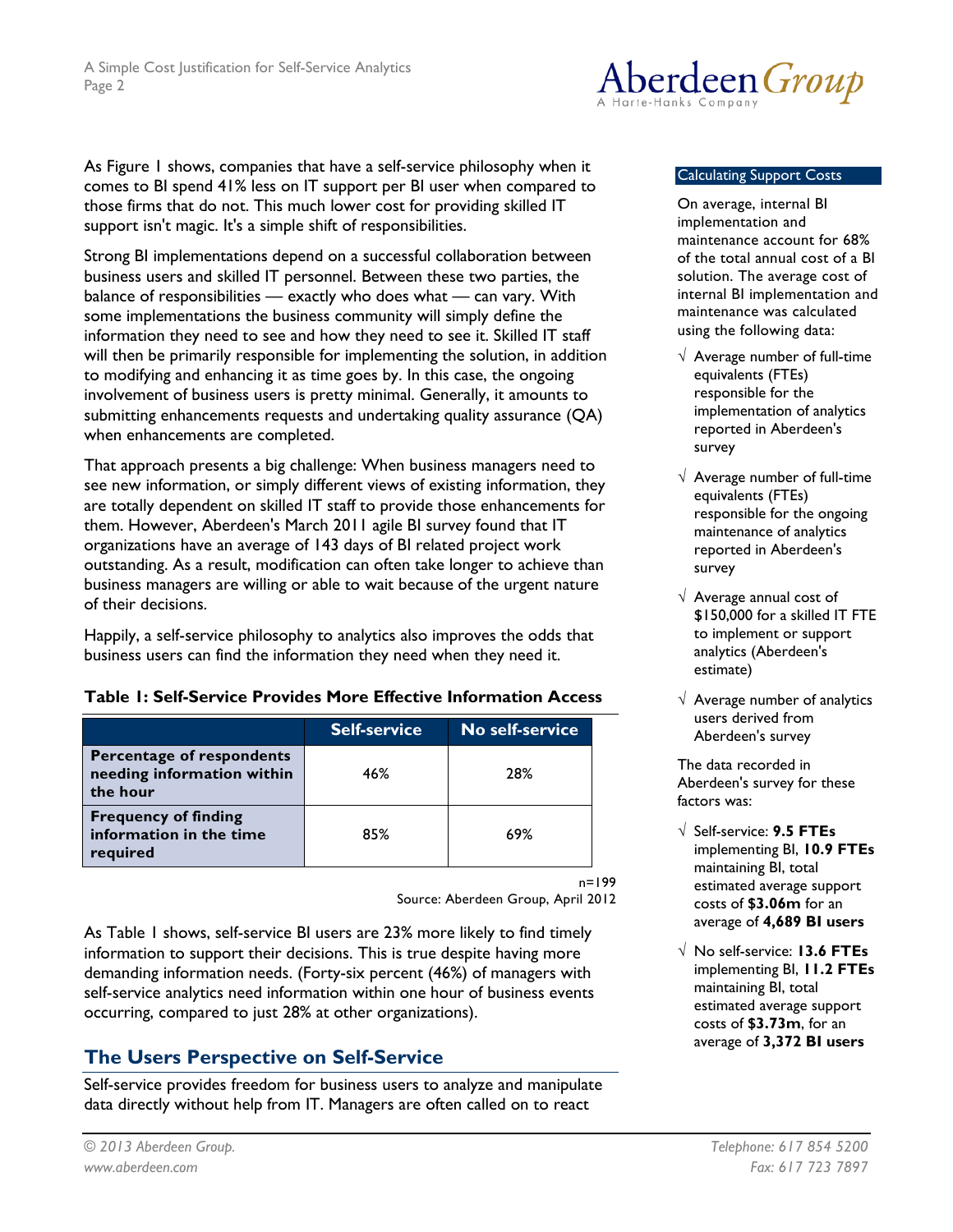As Figure 1 shows, companies that have a self-service philosophy when it comes to BI spend 41% less on IT support per BI user when compared to those firms that do not. This much lower cost for providing skilled IT support isn't magic. It's a simple shift of responsibilities.

Strong BI implementations depend on a successful collaboration between business users and skilled IT personnel. Between these two parties, the balance of responsibilities — exactly who does what — can vary. With some implementations the business community will simply define the information they need to see and how they need to see it. Skilled IT staff will then be primarily responsible for implementing the solution, in addition to modifying and enhancing it as time goes by. In this case, the ongoing involvement of business users is pretty minimal. Generally, it amounts to submitting enhancements requests and undertaking quality assurance (QA) when enhancements are completed.

That approach presents a big challenge: When business managers need to see new information, or simply different views of existing information, they are totally dependent on skilled IT staff to provide those enhancements for them. However, Aberdeen's March 2011 agile BI survey found that IT organizations have an average of 143 days of BI related project work outstanding. As a result, modification can often take longer to achieve than business managers are willing or able to wait because of the urgent nature of their decisions.

Happily, a self-service philosophy to analytics also improves the odds that business users can find the information they need when they need it.

#### **Table 1: Self-Service Provides More Effective Information Access**

|                                                                     | <b>Self-service</b> | No self-service |
|---------------------------------------------------------------------|---------------------|-----------------|
| Percentage of respondents<br>needing information within<br>the hour | 46%                 | 28%             |
| <b>Frequency of finding</b><br>information in the time<br>required  | 85%                 | 69%             |

n=199

Source: Aberdeen Group, April 2012

As Table 1 shows, self-service BI users are 23% more likely to find timely information to support their decisions. This is true despite having more demanding information needs. (Forty-six percent (46%) of managers with self-service analytics need information within one hour of business events occurring, compared to just 28% at other organizations).

#### **The Users Perspective on Self-Service**

Self-service provides freedom for business users to analyze and manipulate data directly without help from IT. Managers are often called on to react



#### Calculating Support Costs

On average, internal BI implementation and maintenance account for 68% of the total annual cost of a BI solution. The average cost of internal BI implementation and maintenance was calculated using the following data:

- $\sqrt{\phantom{a}}$  Average number of full-time equivalents (FTEs) responsible for the implementation of analytics reported in Aberdeen's survey
- $\sqrt{\ }$  Average number of full-time equivalents (FTEs) responsible for the ongoing maintenance of analytics reported in Aberdeen's survey
- $\sqrt{ }$  Average annual cost of \$150,000 for a skilled IT FTE to implement or support analytics (Aberdeen's estimate)
- $\sqrt{ }$  Average number of analytics users derived from Aberdeen's survey

The data recorded in Aberdeen's survey for these factors was:

- √ Self-service: **9.5 FTEs** implementing BI, **10.9 FTEs** maintaining BI, total estimated average support costs of **\$3.06m** for an average of **4,689 BI users**
- √ No self-service: **13.6 FTEs** implementing BI, **11.2 FTEs** maintaining BI, total estimated average support costs of **\$3.73m**, for an average of **3,372 BI users**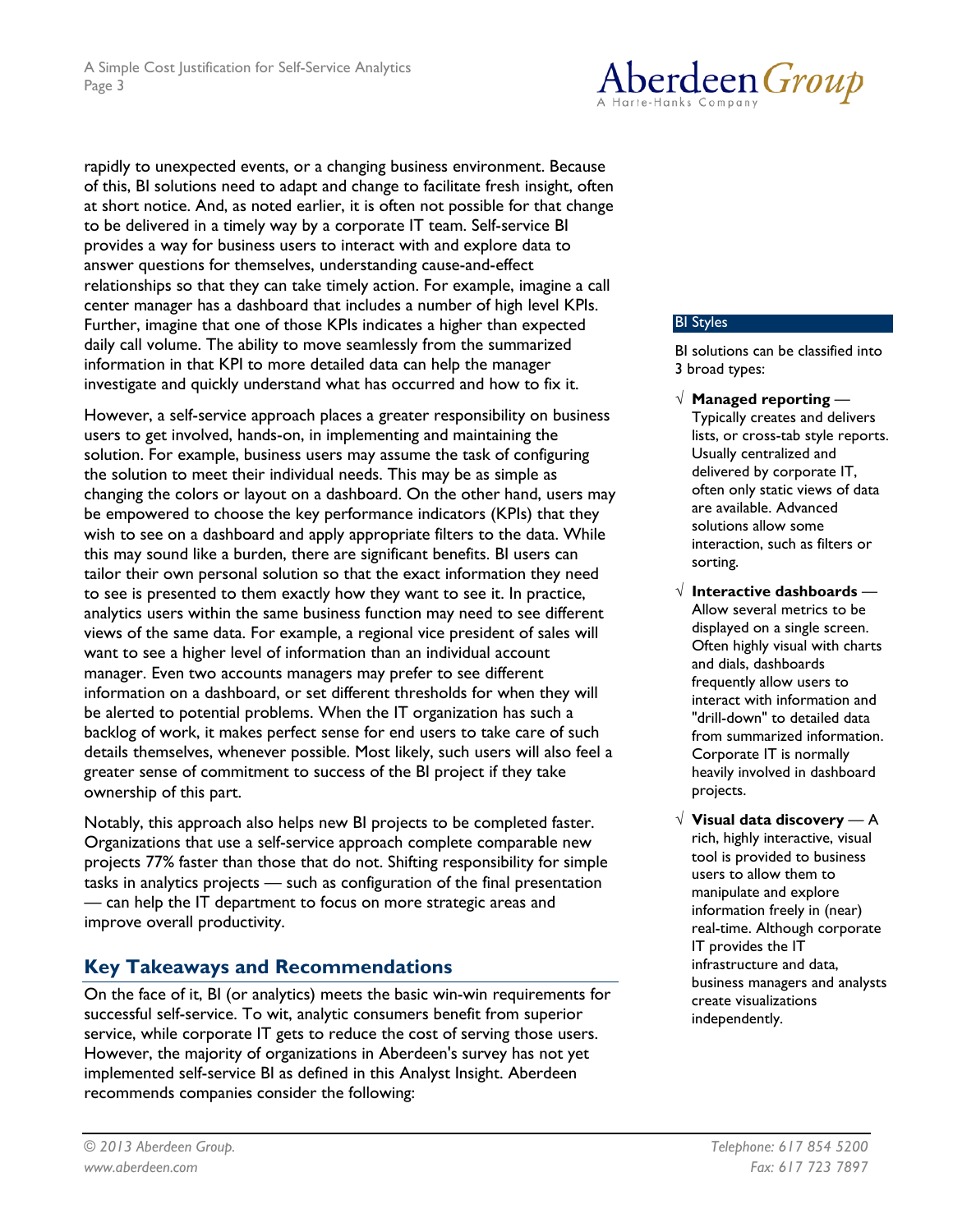Aberdeen *Group* 

rapidly to unexpected events, or a changing business environment. Because of this, BI solutions need to adapt and change to facilitate fresh insight, often at short notice. And, as noted earlier, it is often not possible for that change to be delivered in a timely way by a corporate IT team. Self-service BI provides a way for business users to interact with and explore data to answer questions for themselves, understanding cause-and-effect relationships so that they can take timely action. For example, imagine a call center manager has a dashboard that includes a number of high level KPIs. Further, imagine that one of those KPIs indicates a higher than expected daily call volume. The ability to move seamlessly from the summarized information in that KPI to more detailed data can help the manager investigate and quickly understand what has occurred and how to fix it.

However, a self-service approach places a greater responsibility on business users to get involved, hands-on, in implementing and maintaining the solution. For example, business users may assume the task of configuring the solution to meet their individual needs. This may be as simple as changing the colors or layout on a dashboard. On the other hand, users may be empowered to choose the key performance indicators (KPIs) that they wish to see on a dashboard and apply appropriate filters to the data. While this may sound like a burden, there are significant benefits. BI users can tailor their own personal solution so that the exact information they need to see is presented to them exactly how they want to see it. In practice, analytics users within the same business function may need to see different views of the same data. For example, a regional vice president of sales will want to see a higher level of information than an individual account manager. Even two accounts managers may prefer to see different information on a dashboard, or set different thresholds for when they will be alerted to potential problems. When the IT organization has such a backlog of work, it makes perfect sense for end users to take care of such details themselves, whenever possible. Most likely, such users will also feel a greater sense of commitment to success of the BI project if they take ownership of this part.

Notably, this approach also helps new BI projects to be completed faster. Organizations that use a self-service approach complete comparable new projects 77% faster than those that do not. Shifting responsibility for simple tasks in analytics projects — such as configuration of the final presentation — can help the IT department to focus on more strategic areas and improve overall productivity.

#### **Key Takeaways and Recommendations**

On the face of it, BI (or analytics) meets the basic win-win requirements for successful self-service. To wit, analytic consumers benefit from superior service, while corporate IT gets to reduce the cost of serving those users. However, the majority of organizations in Aberdeen's survey has not yet implemented self-service BI as defined in this Analyst Insight. Aberdeen recommends companies consider the following:

#### BI Styles

BI solutions can be classified into 3 broad types:

- √ **Managed reporting** Typically creates and delivers lists, or cross-tab style reports. Usually centralized and delivered by corporate IT, often only static views of data are available. Advanced solutions allow some interaction, such as filters or sorting.
- √ **Interactive dashboards** Allow several metrics to be displayed on a single screen. Often highly visual with charts and dials, dashboards frequently allow users to interact with information and "drill-down" to detailed data from summarized information. Corporate IT is normally heavily involved in dashboard projects.
- √ **Visual data discovery** A rich, highly interactive, visual tool is provided to business users to allow them to manipulate and explore information freely in (near) real-time. Although corporate IT provides the IT infrastructure and data, business managers and analysts create visualizations independently.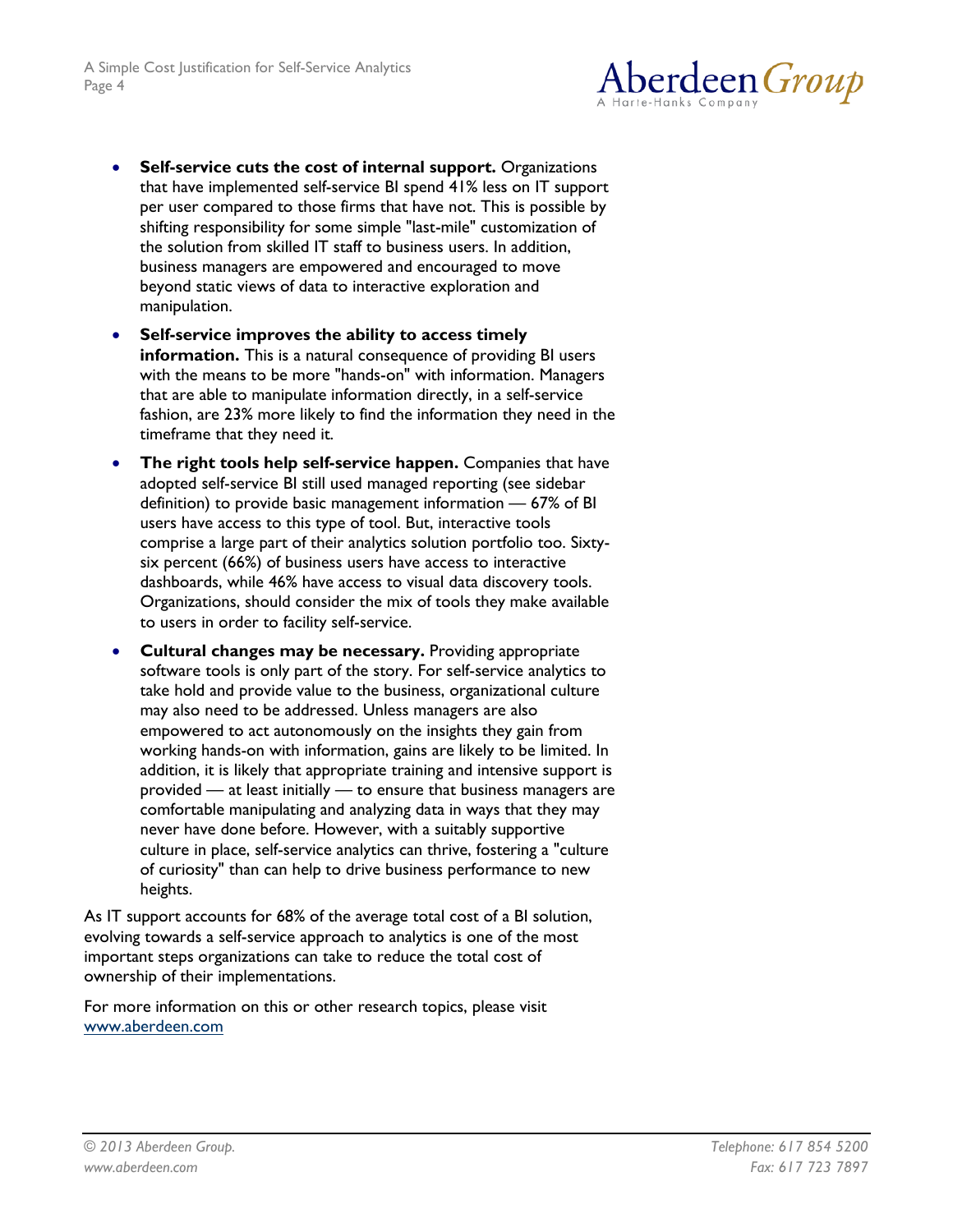

- **Self-service cuts the cost of internal support.** Organizations that have implemented self-service BI spend 41% less on IT support per user compared to those firms that have not. This is possible by shifting responsibility for some simple "last-mile" customization of the solution from skilled IT staff to business users. In addition, business managers are empowered and encouraged to move beyond static views of data to interactive exploration and manipulation.
- **Self-service improves the ability to access timely information.** This is a natural consequence of providing BI users with the means to be more "hands-on" with information. Managers that are able to manipulate information directly, in a self-service fashion, are 23% more likely to find the information they need in the timeframe that they need it.
- **The right tools help self-service happen.** Companies that have adopted self-service BI still used managed reporting (see sidebar definition) to provide basic management information — 67% of BI users have access to this type of tool. But, interactive tools comprise a large part of their analytics solution portfolio too. Sixtysix percent (66%) of business users have access to interactive dashboards, while 46% have access to visual data discovery tools. Organizations, should consider the mix of tools they make available to users in order to facility self-service.
- **Cultural changes may be necessary.** Providing appropriate software tools is only part of the story. For self-service analytics to take hold and provide value to the business, organizational culture may also need to be addressed. Unless managers are also empowered to act autonomously on the insights they gain from working hands-on with information, gains are likely to be limited. In addition, it is likely that appropriate training and intensive support is provided — at least initially — to ensure that business managers are comfortable manipulating and analyzing data in ways that they may never have done before. However, with a suitably supportive culture in place, self-service analytics can thrive, fostering a "culture of curiosity" than can help to drive business performance to new heights.

As IT support accounts for 68% of the average total cost of a BI solution, evolving towards a self-service approach to analytics is one of the most important steps organizations can take to reduce the total cost of ownership of their implementations.

For more information on this or other research topics, please visit [www.aberdeen.com](http://www.aberdeen.com/)